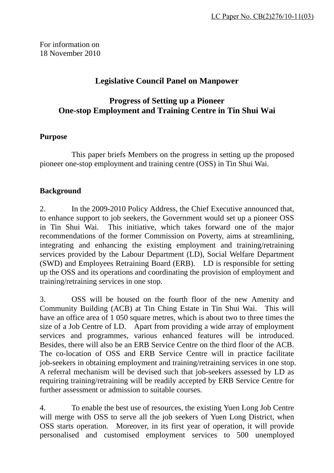For information on 18 November 2010

## **Legislative Council Panel on Manpower**

# **Progress of Setting up a Pioneer One-stop Employment and Training Centre in Tin Shui Wai**

#### **Purpose**

 This paper briefs Members on the progress in setting up the proposed pioneer one-stop employment and training centre (OSS) in Tin Shui Wai.

#### **Background**

2. In the 2009-2010 Policy Address, the Chief Executive announced that, to enhance support to job seekers, the Government would set up a pioneer OSS in Tin Shui Wai. This initiative, which takes forward one of the major recommendations of the former Commission on Poverty, aims at streamlining, integrating and enhancing the existing employment and training/retraining services provided by the Labour Department (LD), Social Welfare Department (SWD) and Employees Retraining Board (ERB). LD is responsible for setting up the OSS and its operations and coordinating the provision of employment and training/retraining services in one stop.

3. OSS will be housed on the fourth floor of the new Amenity and Community Building (ACB) at Tin Ching Estate in Tin Shui Wai. This will have an office area of 1 050 square metres, which is about two to three times the size of a Job Centre of LD. Apart from providing a wide array of employment services and programmes, various enhanced features will be introduced. Besides, there will also be an ERB Service Centre on the third floor of the ACB. The co-location of OSS and ERB Service Centre will in practice facilitate job-seekers in obtaining employment and training/retraining services in one stop. A referral mechanism will be devised such that job-seekers assessed by LD as requiring training/retraining will be readily accepted by ERB Service Centre for further assessment or admission to suitable courses.

4. To enable the best use of resources, the existing Yuen Long Job Centre will merge with OSS to serve all the job seekers of Yuen Long District, when OSS starts operation. Moreover, in its first year of operation, it will provide personalised and customised employment services to 500 unemployed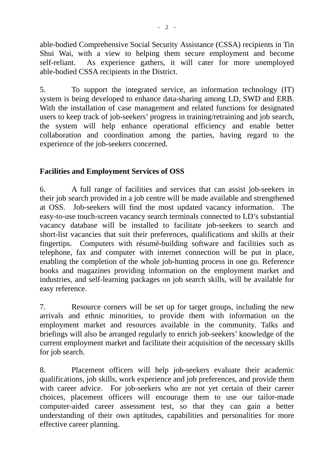able-bodied Comprehensive Social Security Assistance (CSSA) recipients in Tin Shui Wai, with a view to helping them secure employment and become self-reliant. As experience gathers, it will cater for more unemployed able-bodied CSSA recipients in the District.

5. To support the integrated service, an information technology (IT) system is being developed to enhance data-sharing among LD, SWD and ERB. With the installation of case management and related functions for designated users to keep track of job-seekers' progress in training/retraining and job search, the system will help enhance operational efficiency and enable better collaboration and coordination among the parties, having regard to the experience of the job-seekers concerned.

# **Facilities and Employment Services of OSS**

6. A full range of facilities and services that can assist job-seekers in their job search provided in a job centre will be made available and strengthened at OSS. Job-seekers will find the most updated vacancy information. The easy-to-use touch-screen vacancy search terminals connected to LD's substantial vacancy database will be installed to facilitate job-seekers to search and short-list vacancies that suit their preferences, qualifications and skills at their fingertips. Computers with résumé-building software and facilities such as telephone, fax and computer with internet connection will be put in place, enabling the completion of the whole job-hunting process in one go. Reference books and magazines providing information on the employment market and industries, and self-learning packages on job search skills, will be available for easy reference.

7. Resource corners will be set up for target groups, including the new arrivals and ethnic minorities, to provide them with information on the employment market and resources available in the community. Talks and briefings will also be arranged regularly to enrich job-seekers' knowledge of the current employment market and facilitate their acquisition of the necessary skills for job search.

8. Placement officers will help job-seekers evaluate their academic qualifications, job skills, work experience and job preferences, and provide them with career advice. For job-seekers who are not yet certain of their career choices, placement officers will encourage them to use our tailor-made computer-aided career assessment test, so that they can gain a better understanding of their own aptitudes, capabilities and personalities for more effective career planning.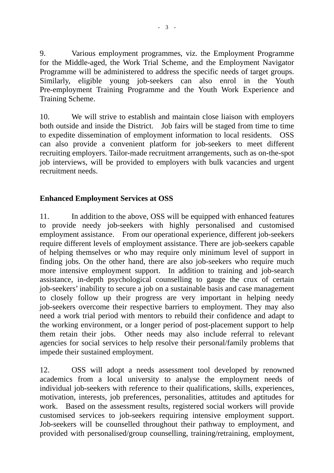9. Various employment programmes, viz. the Employment Programme for the Middle-aged, the Work Trial Scheme, and the Employment Navigator Programme will be administered to address the specific needs of target groups. Similarly, eligible young job-seekers can also enrol in the Youth Pre-employment Training Programme and the Youth Work Experience and Training Scheme.

10. We will strive to establish and maintain close liaison with employers both outside and inside the District. Job fairs will be staged from time to time to expedite dissemination of employment information to local residents. OSS can also provide a convenient platform for job-seekers to meet different recruiting employers. Tailor-made recruitment arrangements, such as on-the-spot job interviews, will be provided to employers with bulk vacancies and urgent recruitment needs.

## **Enhanced Employment Services at OSS**

11. In addition to the above, OSS will be equipped with enhanced features to provide needy job-seekers with highly personalised and customised employment assistance. From our operational experience, different job-seekers require different levels of employment assistance. There are job-seekers capable of helping themselves or who may require only minimum level of support in finding jobs. On the other hand, there are also job-seekers who require much more intensive employment support. In addition to training and job-search assistance, in-depth psychological counselling to gauge the crux of certain job-seekers' inability to secure a job on a sustainable basis and case management to closely follow up their progress are very important in helping needy job-seekers overcome their respective barriers to employment. They may also need a work trial period with mentors to rebuild their confidence and adapt to the working environment, or a longer period of post-placement support to help them retain their jobs. Other needs may also include referral to relevant agencies for social services to help resolve their personal/family problems that impede their sustained employment.

12. OSS will adopt a needs assessment tool developed by renowned academics from a local university to analyse the employment needs of individual job-seekers with reference to their qualifications, skills, experiences, motivation, interests, job preferences, personalities, attitudes and aptitudes for work. Based on the assessment results, registered social workers will provide customised services to job-seekers requiring intensive employment support. Job-seekers will be counselled throughout their pathway to employment, and provided with personalised/group counselling, training/retraining, employment,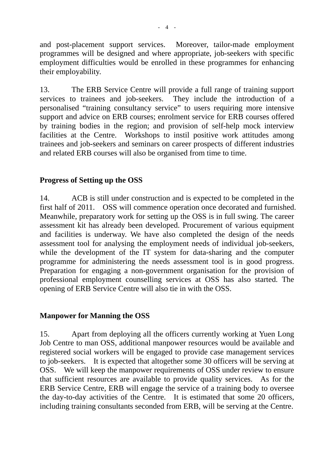and post-placement support services. Moreover, tailor-made employment programmes will be designed and where appropriate, job-seekers with specific employment difficulties would be enrolled in these programmes for enhancing their employability.

13. The ERB Service Centre will provide a full range of training support services to trainees and job-seekers. They include the introduction of a personalised "training consultancy service" to users requiring more intensive support and advice on ERB courses; enrolment service for ERB courses offered by training bodies in the region; and provision of self-help mock interview facilities at the Centre. Workshops to instil positive work attitudes among trainees and job-seekers and seminars on career prospects of different industries and related ERB courses will also be organised from time to time.

### **Progress of Setting up the OSS**

14. ACB is still under construction and is expected to be completed in the first half of 2011. OSS will commence operation once decorated and furnished. Meanwhile, preparatory work for setting up the OSS is in full swing. The career assessment kit has already been developed. Procurement of various equipment and facilities is underway. We have also completed the design of the needs assessment tool for analysing the employment needs of individual job-seekers, while the development of the IT system for data-sharing and the computer programme for administering the needs assessment tool is in good progress. Preparation for engaging a non-government organisation for the provision of professional employment counselling services at OSS has also started. The opening of ERB Service Centre will also tie in with the OSS.

## **Manpower for Manning the OSS**

15. Apart from deploying all the officers currently working at Yuen Long Job Centre to man OSS, additional manpower resources would be available and registered social workers will be engaged to provide case management services to job-seekers. It is expected that altogether some 30 officers will be serving at OSS. We will keep the manpower requirements of OSS under review to ensure that sufficient resources are available to provide quality services. As for the ERB Service Centre, ERB will engage the service of a training body to oversee the day-to-day activities of the Centre. It is estimated that some 20 officers, including training consultants seconded from ERB, will be serving at the Centre.